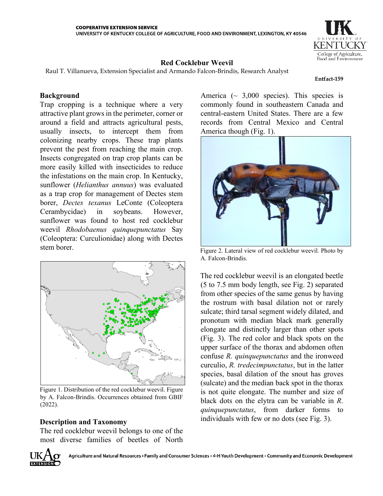

# **Red Cocklebur Weevil**

Raul T. Villanueva, Extension Specialist and Armando Falcon-Brindis, Research Analyst

#### **Entfact-159**

## **Background**

Trap cropping is a technique where a very attractive plant grows in the perimeter, corner or around a field and attracts agricultural pests, usually insects, to intercept them from colonizing nearby crops. These trap plants prevent the pest from reaching the main crop. Insects congregated on trap crop plants can be more easily killed with insecticides to reduce the infestations on the main crop. In Kentucky, sunflower (*Helianthus annuus*) was evaluated as a trap crop for management of Dectes stem borer, *Dectes texanus* LeConte (Coleoptera Cerambycidae) in soybeans. However, sunflower was found to host red cocklebur weevil *Rhodobaenus quinquepunctatus* Say (Coleoptera: Curculionidae) along with Dectes stem borer.



Figure 1. Distribution of the red cocklebur weevil. Figure by A. Falcon-Brindis. Occurrences obtained from GBIF (2022).

# **Description and Taxonomy**

The red cocklebur weevil belongs to one of the most diverse families of beetles of North America ( $\sim$  3,000 species). This species is commonly found in southeastern Canada and central-eastern United States. There are a few records from Central Mexico and Central America though (Fig. 1).



Figure 2. Lateral view of red cocklebur weevil*.* Photo by A. Falcon-Brindis.

The red cocklebur weevil is an elongated beetle (5 to 7.5 mm body length, see Fig. 2) separated from other species of the same genus by having the rostrum with basal dilation not or rarely sulcate; third tarsal segment widely dilated, and pronotum with median black mark generally elongate and distinctly larger than other spots (Fig. 3). The red color and black spots on the upper surface of the thorax and abdomen often confuse *R. quinquepunctatus* and the ironweed curculio, *R. tredecimpunctatus*, but in the latter species, basal dilation of the snout has groves (sulcate) and the median back spot in the thorax is not quite elongate. The number and size of black dots on the elytra can be variable in *R. quinquepunctatus*, from darker forms to individuals with few or no dots (see Fig. 3).

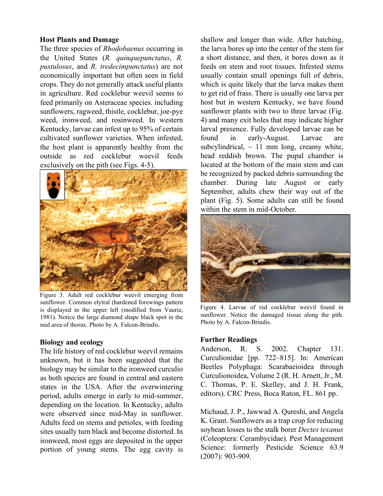### **Host Plants and Damage**

The three species of *Rhodobaenus* occurring in the United States (*R. quinquepunctatus*, *R. pustulosus*, and *R. tredecimpunctatus*) are not economically important but often seen in field crops. They do not generally attack useful plants in agriculture. Red cocklebur weevil seems to feed primarily on Asteraceae species. including sunflowers, ragweed, thistle, cocklebur, joe-pye weed, ironweed, and rosinweed. In western Kentucky, larvae can infest up to 95% of certain cultivated sunflower varieties. When infested, the host plant is apparently healthy from the outside as red cocklebur weevil feeds exclusively on the pith (see Figs. 4-5).



Figure 3. Adult red cocklebur weevil emerging from sunflower. Common elytral (hardened forewings pattern is displayed in the upper left (modified from Vaurie, 1981). Notice the large diamond shape black spot in the mid area of thorax. Photo by A. Falcon-Brindis.

## **Biology and ecology**

The life history of red cocklebur weevil remains unknown, but it has been suggested that the biology may be similar to the ironweed curculio as both species are found in central and eastern states in the USA. After the overwintering period, adults emerge in early to mid-summer, depending on the location. In Kentucky, adults were observed since mid-May in sunflower. Adults feed on stems and petioles, with feeding sites usually turn black and become distorted. In ironweed, most eggs are deposited in the upper portion of young stems. The egg cavity is

shallow and longer than wide. After hatching, the larva bores up into the center of the stem for a short distance, and then, it bores down as it feeds on stem and root tissues. Infested stems usually contain small openings full of debris, which is quite likely that the larva makes them to get rid of frass. There is usually one larva per host but in western Kentucky, we have found sunflower plants with two to three larvae (Fig. 4) and many exit holes that may indicate higher larval presence. Fully developed larvae can be found in early-August. Larvae are subcylindrical,  $\sim$  11 mm long, creamy white, head reddish brown. The pupal chamber is located at the bottom of the main stem and can be recognized by packed debris surrounding the chamber. During late August or early September, adults chew their way out of the plant (Fig. 5). Some adults can still be found within the stem in mid-October.



Figure 4. Larvae of red cocklebur weevil found in sunflower. Notice the damaged tissue along the pith. Photo by A. Falcon-Brindis.

## **Further Readings**

Anderson, R. S. 2002. Chapter 131. Curculionidae [pp. 722–815]. In: American Beetles Polyphaga: Scarabaeioidea through Curculionoidea, Volume 2 (R. H. Arnett, Jr., M. C. Thomas, P. E. Skelley, and J. H. Frank, editors). CRC Press, Boca Raton, FL. 861 pp.

Michaud, J. P., Jawwad A. Qureshi, and Angela K. Grant. Sunflowers as a trap crop for reducing soybean losses to the stalk borer *Dectes texanus* (Coleoptera: Cerambycidae). Pest Management Science: formerly Pesticide Science 63.9 (2007): 903-909.